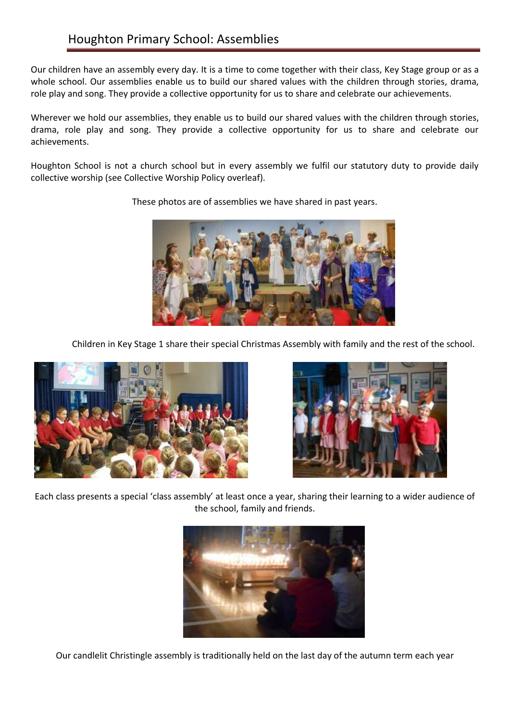Our children have an assembly every day. It is a time to come together with their class, Key Stage group or as a whole school. Our assemblies enable us to build our shared values with the children through stories, drama, role play and song. They provide a collective opportunity for us to share and celebrate our achievements.

Wherever we hold our assemblies, they enable us to build our shared values with the children through stories, drama, role play and song. They provide a collective opportunity for us to share and celebrate our achievements.

Houghton School is not a church school but in every assembly we fulfil our statutory duty to provide daily collective worship (see Collective Worship Policy overleaf).



Children in Key Stage 1 share their special Christmas Assembly with family and the rest of the school.





Each class presents a special 'class assembly' at least once a year, sharing their learning to a wider audience of the school, family and friends.



Our candlelit Christingle assembly is traditionally held on the last day of the autumn term each year

These photos are of assemblies we have shared in past years.